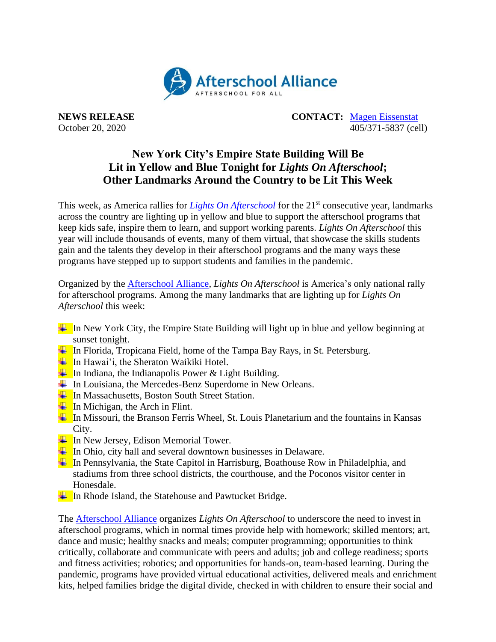

**NEWS RELEASE CONTACT:** [Magen Eissenstat](mailto:magen@prsolutionsdc.com) October 20, 2020 405/371-5837 (cell)

## **New York City's Empire State Building Will Be Lit in Yellow and Blue Tonight for** *Lights On Afterschool***; Other Landmarks Around the Country to be Lit This Week**

This week, as America rallies for *[Lights On Afterschool](http://www.afterschoolalliance.org/loa.cfm)* for the 21<sup>st</sup> consecutive year, landmarks across the country are lighting up in yellow and blue to support the afterschool programs that keep kids safe, inspire them to learn, and support working parents. *Lights On Afterschool* this year will include thousands of events, many of them virtual, that showcase the skills students gain and the talents they develop in their afterschool programs and the many ways these programs have stepped up to support students and families in the pandemic.

Organized by the [Afterschool Alliance,](http://www.afterschoolalliance.org/) *Lights On Afterschool* is America's only national rally for afterschool programs. Among the many landmarks that are lighting up for *Lights On Afterschool* this week:

- $\Box$  In New York City, the Empire State Building will light up in blue and yellow beginning at sunset tonight.
- In Florida, Tropicana Field, home of the Tampa Bay Rays, in St. Petersburg.
- $\blacksquare$  In Hawai'i, the Sheraton Waikiki Hotel.
- $\Box$  In Indiana, the Indianapolis Power & Light Building.
- $\overline{\text{I}}$  In Louisiana, the Mercedes-Benz Superdome in New Orleans.
- $\overline{\text{In}}$  In Massachusetts, Boston South Street Station.
- $\overline{\mathbf{I}}$  In Michigan, the Arch in Flint.
- In Missouri, the Branson Ferris Wheel, St. Louis Planetarium and the fountains in Kansas City.
- $\overline{\mathbf{I}}$  In New Jersey, Edison Memorial Tower.
- $\overline{\mathbf{I}}$  In Ohio, city hall and several downtown businesses in Delaware.
- $\Box$  In Pennsylvania, the State Capitol in Harrisburg, Boathouse Row in Philadelphia, and stadiums from three school districts, the courthouse, and the Poconos visitor center in Honesdale.
- $\frac{1}{\sqrt{1}}$  In Rhode Island, the Statehouse and Pawtucket Bridge.

The [Afterschool Alliance](http://www.afterschoolalliance.org/) organizes *Lights On Afterschool* to underscore the need to invest in afterschool programs, which in normal times provide help with homework; skilled mentors; art, dance and music; healthy snacks and meals; computer programming; opportunities to think critically, collaborate and communicate with peers and adults; job and college readiness; sports and fitness activities; robotics; and opportunities for hands-on, team-based learning. During the pandemic, programs have provided virtual educational activities, delivered meals and enrichment kits, helped families bridge the digital divide, checked in with children to ensure their social and